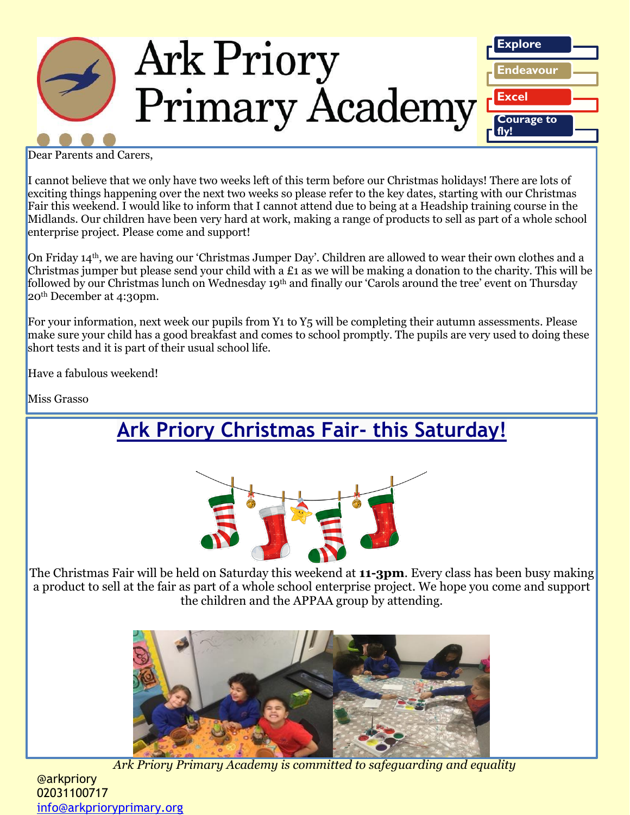

Dear Parents and Carers,

I cannot believe that we only have two weeks left of this term before our Christmas holidays! There are lots of exciting things happening over the next two weeks so please refer to the key dates, starting with our Christmas Fair this weekend. I would like to inform that I cannot attend due to being at a Headship training course in the Midlands. Our children have been very hard at work, making a range of products to sell as part of a whole school enterprise project. Please come and support!

On Friday 14th, we are having our 'Christmas Jumper Day'. Children are allowed to wear their own clothes and a Christmas jumper but please send your child with a £1 as we will be making a donation to the charity. This will be followed by our Christmas lunch on Wednesday 19<sup>th</sup> and finally our 'Carols around the tree' event on Thursday 20th December at 4:30pm.

For your information, next week our pupils from Y<sub>1</sub> to Y<sub>5</sub> will be completing their autumn assessments. Please make sure your child has a good breakfast and comes to school promptly. The pupils are very used to doing these short tests and it is part of their usual school life.

Have a fabulous weekend!

Miss Grasso

**Ark Priory Christmas Fair- this Saturday!**



The Christmas Fair will be held on Saturday this weekend at **11-3pm**. Every class has been busy making a product to sell at the fair as part of a whole school enterprise project. We hope you come and support the children and the APPAA group by attending.



*Ark Priory Primary Academy is committed to safeguarding and equality*  @arkpriory 02031100717 [info@arkprioryprimary.org](mailto:info@arkprioryprimary.org)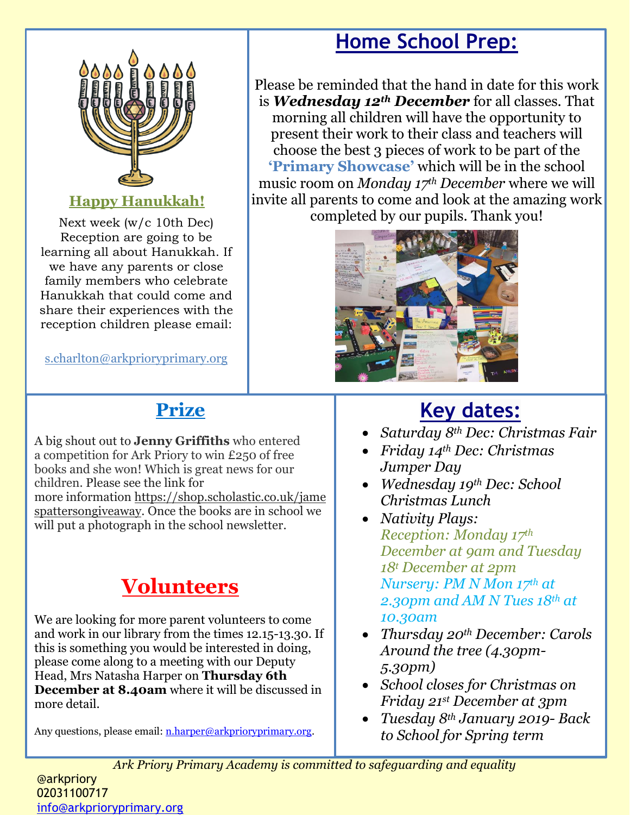

### **Happy Hanukkah!**

Next week (w/c 10th Dec) Reception are going to be learning all about Hanukkah. If we have any parents or close family members who celebrate Hanukkah that could come and share their experiences with the reception children please email:

s.charlton@arkprioryprimary.org

### **Prize**

A big shout out to **Jenny Griffiths** who entered a competition for Ark Priory to win £250 of free books and she won! Which is great news for our children. Please see the link for more information [https://shop.scholastic.co.uk/jame](https://shop.scholastic.co.uk/jamespattersongiveaway) [spattersongiveaway.](https://shop.scholastic.co.uk/jamespattersongiveaway) Once the books are in school we will put a photograph in the school newsletter.

# **Volunteers**

We are looking for more parent volunteers to come and work in our library from the times 12.15-13.30. If this is something you would be interested in doing, please come along to a meeting with our Deputy Head, Mrs Natasha Harper on **Thursday 6th December at 8.40am** where it will be discussed in more detail.

Any questions, please email: [n.harper@arkprioryprimary.org.](mailto:n.harper@arkprioryprimary.org)

## **Home School Prep:**

Please be reminded that the hand in date for this work is *Wednesday 12th December* for all classes. That morning all children will have the opportunity to present their work to their class and teachers will choose the best 3 pieces of work to be part of the **'Primary Showcase'** which will be in the school music room on *Monday 17th December* where we will invite all parents to come and look at the amazing work completed by our pupils. Thank you!



## **Key dates:**

- *Saturday 8th Dec: Christmas Fair*
- *Friday 14th Dec: Christmas Jumper Day*
- *Wednesday 19th Dec: School Christmas Lunch*
- *Nativity Plays: Reception: Monday 17th December at 9am and Tuesday 18<sup>t</sup> December at 2pm Nursery: PM N Mon 17th at 2.30pm and AM N Tues 18th at 10.30am*
- *Thursday 20th December: Carols Around the tree (4.30pm-5.30pm)*
- *School closes for Christmas on Friday 21st December at 3pm*
- *Tuesday 8th January 2019- Back to School for Spring term*

*Ark Priory Primary Academy is committed to safeguarding and equality* 

#### @arkpriory 02031100717 [info@arkprioryprimary.org](mailto:info@arkprioryprimary.org)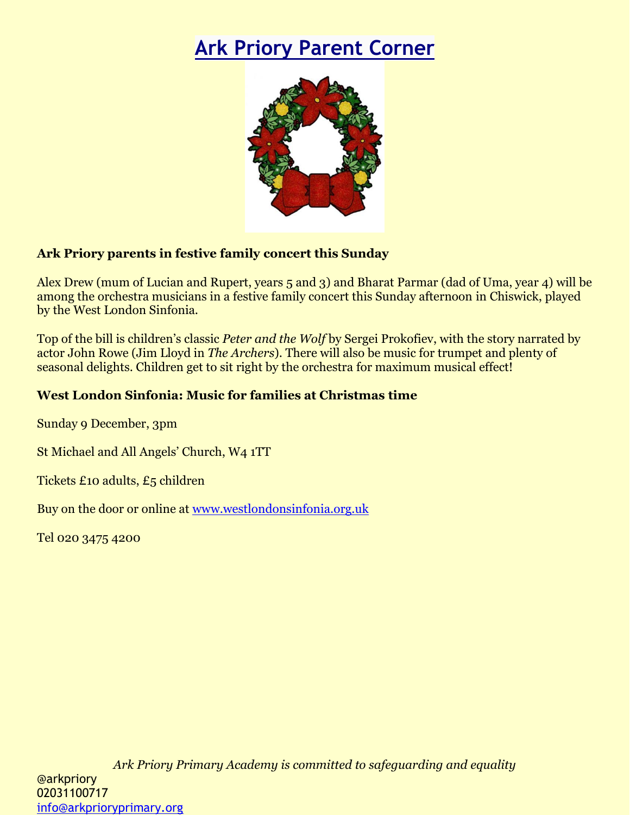# **Ark Priory Parent Corner**



#### **Ark Priory parents in festive family concert this Sunday**

Alex Drew (mum of Lucian and Rupert, years 5 and 3) and Bharat Parmar (dad of Uma, year 4) will be among the orchestra musicians in a festive family concert this Sunday afternoon in Chiswick, played by the West London Sinfonia.

Top of the bill is children's classic *Peter and the Wolf* by Sergei Prokofiev, with the story narrated by actor John Rowe (Jim Lloyd in *The Archers*). There will also be music for trumpet and plenty of seasonal delights. Children get to sit right by the orchestra for maximum musical effect!

#### **West London Sinfonia: Music for families at Christmas time**

Sunday 9 December, 3pm

St Michael and All Angels' Church, W4 1TT

Tickets £10 adults, £5 children

Buy on the door or online at [www.westlondonsinfonia.org.uk](http://www.westlondonsinfonia.org.uk/)

Tel 020 3475 4200